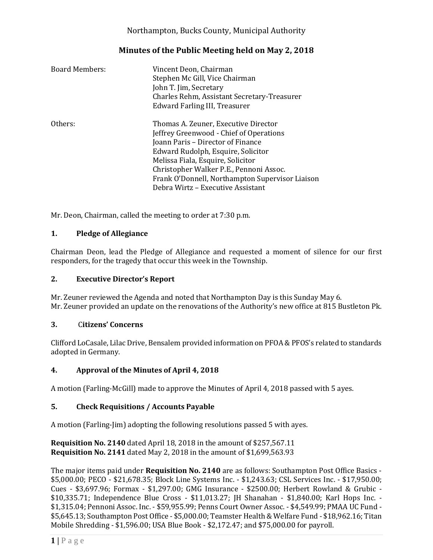# **Minutes of the Public Meeting held on May 2, 2018**

| <b>Board Members:</b> | Vincent Deon, Chairman<br>Stephen Mc Gill, Vice Chairman<br>John T. Jim, Secretary<br>Charles Rehm, Assistant Secretary-Treasurer<br>Edward Farling III, Treasurer                                                                                                                                                                 |
|-----------------------|------------------------------------------------------------------------------------------------------------------------------------------------------------------------------------------------------------------------------------------------------------------------------------------------------------------------------------|
| Others:               | Thomas A. Zeuner, Executive Director<br>Jeffrey Greenwood - Chief of Operations<br>Joann Paris - Director of Finance<br>Edward Rudolph, Esquire, Solicitor<br>Melissa Fiala, Esquire, Solicitor<br>Christopher Walker P.E., Pennoni Assoc.<br>Frank O'Donnell, Northampton Supervisor Liaison<br>Debra Wirtz – Executive Assistant |

Mr. Deon, Chairman, called the meeting to order at 7:30 p.m.

## **1. Pledge of Allegiance**

Chairman Deon, lead the Pledge of Allegiance and requested a moment of silence for our first responders, for the tragedy that occur this week in the Township.

### **2. Executive Director's Report**

Mr. Zeuner reviewed the Agenda and noted that Northampton Day is this Sunday May 6. Mr. Zeuner provided an update on the renovations of the Authority's new office at 815 Bustleton Pk.

#### **3.** C**itizens' Concerns**

Clifford LoCasale, Lilac Drive, Bensalem provided information on PFOA & PFOS's related to standards adopted in Germany.

#### **4. Approval of the Minutes of April 4, 2018**

A motion (Farling-McGill) made to approve the Minutes of April 4, 2018 passed with 5 ayes.

## **5. Check Requisitions / Accounts Payable**

A motion (Farling-Jim) adopting the following resolutions passed 5 with ayes.

**Requisition No. 2140** dated April 18, 2018 in the amount of \$257,567.11 **Requisition No. 2141** dated May 2, 2018 in the amount of \$1,699,563.93

The major items paid under **Requisition No. 2140** are as follows: Southampton Post Office Basics - \$5,000.00; PECO - \$21,678.35; Block Line Systems Inc. - \$1,243.63; CSL Services Inc. - \$17,950.00; Cues - \$3,697.96; Formax - \$1,297.00; GMG Insurance - \$2500.00; Herbert Rowland & Grubic - \$10,335.71; Independence Blue Cross - \$11,013.27; JH Shanahan - \$1,840.00; Karl Hops Inc. - \$1,315.04; Pennoni Assoc. Inc. - \$59,955.99; Penns Court Owner Assoc. - \$4,549.99; PMAA UC Fund - \$5,645.13; Southampton Post Office - \$5,000.00; Teamster Health & Welfare Fund - \$18,962.16; Titan Mobile Shredding - \$1,596.00; USA Blue Book - \$2,172.47; and \$75,000.00 for payroll.